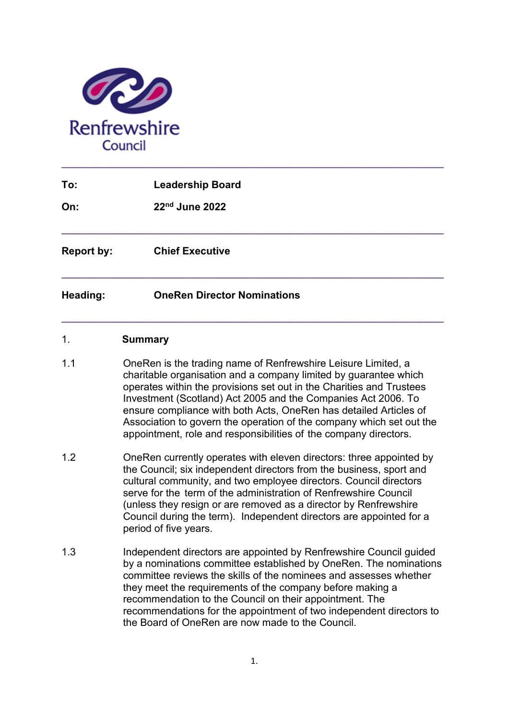

| To:               | <b>Leadership Board</b>            |
|-------------------|------------------------------------|
| On:               | 22nd June 2022                     |
| <b>Report by:</b> | <b>Chief Executive</b>             |
| Heading:          | <b>OneRen Director Nominations</b> |
| 1.                | <b>Summary</b>                     |

- 1.1 OneRen is the trading name of Renfrewshire Leisure Limited, a charitable organisation and a company limited by guarantee which operates within the provisions set out in the Charities and Trustees Investment (Scotland) Act 2005 and the Companies Act 2006. To ensure compliance with both Acts, OneRen has detailed Articles of Association to govern the operation of the company which set out the appointment, role and responsibilities of the company directors.
- 1.2 OneRen currently operates with eleven directors: three appointed by the Council; six independent directors from the business, sport and cultural community, and two employee directors. Council directors serve for the term of the administration of Renfrewshire Council (unless they resign or are removed as a director by Renfrewshire Council during the term). Independent directors are appointed for a period of five years.
- 1.3 Independent directors are appointed by Renfrewshire Council guided by a nominations committee established by OneRen. The nominations committee reviews the skills of the nominees and assesses whether they meet the requirements of the company before making a recommendation to the Council on their appointment. The recommendations for the appointment of two independent directors to the Board of OneRen are now made to the Council.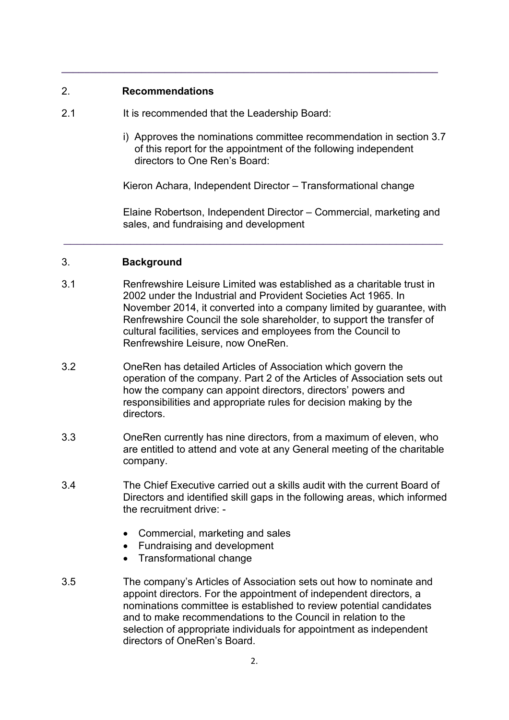## 2. **Recommendations**

- 2.1 It is recommended that the Leadership Board:
	- i) Approves the nominations committee recommendation in section 3.7 of this report for the appointment of the following independent directors to One Ren's Board:

Kieron Achara, Independent Director – Transformational change

**\_\_\_\_\_\_\_\_\_\_\_\_\_\_\_\_\_\_\_\_\_\_\_\_\_\_\_\_\_\_\_\_\_\_\_\_\_\_\_\_\_\_\_\_\_\_\_\_\_\_\_\_\_\_\_\_\_\_\_\_\_\_\_\_\_\_** 

Elaine Robertson, Independent Director – Commercial, marketing and sales, and fundraising and development

## 3. **Background**

3.1 Renfrewshire Leisure Limited was established as a charitable trust in 2002 under the Industrial and Provident Societies Act 1965. In November 2014, it converted into a company limited by guarantee, with Renfrewshire Council the sole shareholder, to support the transfer of cultural facilities, services and employees from the Council to Renfrewshire Leisure, now OneRen.

\_\_\_\_\_\_\_\_\_\_\_\_\_\_\_\_\_\_\_\_\_\_\_\_\_\_\_\_\_\_\_\_\_\_\_\_\_\_\_\_\_\_\_\_\_\_\_\_\_\_\_\_\_\_\_\_\_

- 3.2 OneRen has detailed Articles of Association which govern the operation of the company. Part 2 of the Articles of Association sets out how the company can appoint directors, directors' powers and responsibilities and appropriate rules for decision making by the directors.
- 3.3 OneRen currently has nine directors, from a maximum of eleven, who are entitled to attend and vote at any General meeting of the charitable company.
- 3.4 The Chief Executive carried out a skills audit with the current Board of Directors and identified skill gaps in the following areas, which informed the recruitment drive: -
	- Commercial, marketing and sales
	- Fundraising and development
	- Transformational change
- 3.5 The company's Articles of Association sets out how to nominate and appoint directors. For the appointment of independent directors, a nominations committee is established to review potential candidates and to make recommendations to the Council in relation to the selection of appropriate individuals for appointment as independent directors of OneRen's Board.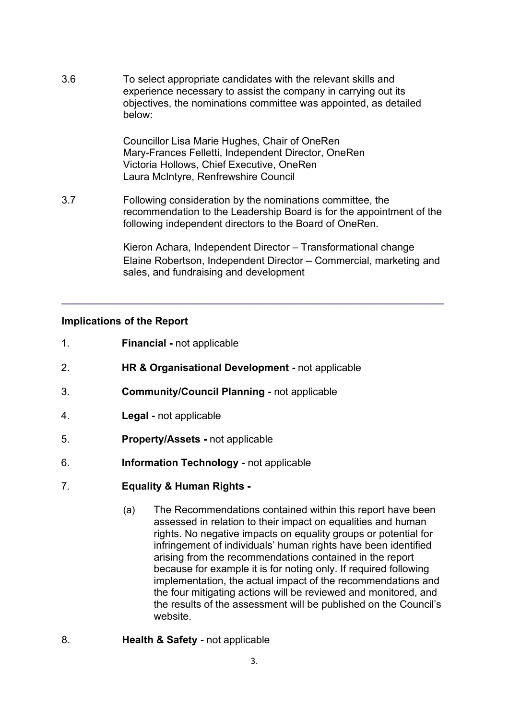3.6 To select appropriate candidates with the relevant skills and experience necessary to assist the company in carrying out its objectives, the nominations committee was appointed, as detailed below:

> Councillor Lisa Marie Hughes, Chair of OneRen Mary-Frances Felletti, Independent Director, OneRen Victoria Hollows, Chief Executive, OneRen Laura McIntyre, Renfrewshire Council

3.7 Following consideration by the nominations committee, the recommendation to the Leadership Board is for the appointment of the following independent directors to the Board of OneRen.

**\_\_\_\_\_\_\_\_\_\_\_\_\_\_\_\_\_\_\_\_\_\_\_\_\_\_\_\_\_\_\_\_\_\_\_\_\_\_\_\_\_\_\_\_\_\_\_\_\_\_\_\_\_\_\_\_\_\_\_\_\_\_\_\_\_\_\_**

Kieron Achara, Independent Director – Transformational change Elaine Robertson, Independent Director – Commercial, marketing and sales, and fundraising and development

## **Implications of the Report**

- 1. **Financial -** not applicable
- 2. **HR & Organisational Development -** not applicable
- 3. **Community/Council Planning -** not applicable
- 4. **Legal -** not applicable
- 5. **Property/Assets -** not applicable
- 6. **Information Technology -** not applicable
- 7. **Equality & Human Rights -**
	- (a) The Recommendations contained within this report have been assessed in relation to their impact on equalities and human rights. No negative impacts on equality groups or potential for infringement of individuals' human rights have been identified arising from the recommendations contained in the report because for example it is for noting only. If required following implementation, the actual impact of the recommendations and the four mitigating actions will be reviewed and monitored, and the results of the assessment will be published on the Council's website.
- 8. **Health & Safety -** not applicable